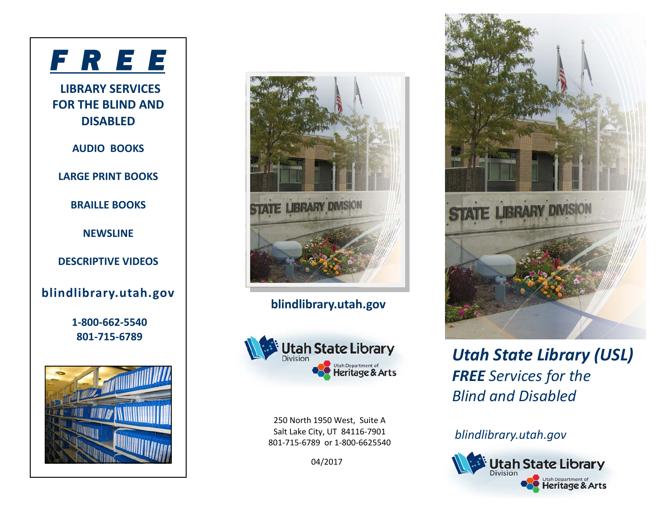

### **LIBRARY SERVICES FOR THE BLIND AND DISABLED**

**AUDIO BOOKS**

**LARGE PRINT BOOKS**

**BRAILLE BOOKS**

**NEWSLINE**

**DESCRIPTIVE VIDEOS**

**blindlibrary.utah.gov**

**1‐800‐662‐5540801‐715‐6789**





### **blindlibrary.utah.gov**



250 North 1950 West, Suite A Salt Lake City, UT 84116‐7901 801‐715‐6789 or 1‐800‐6625540

04/2017



*Utah State Library (USL) FREE Services for the Blind and Disabled*

*blindlibrary.utah.gov*